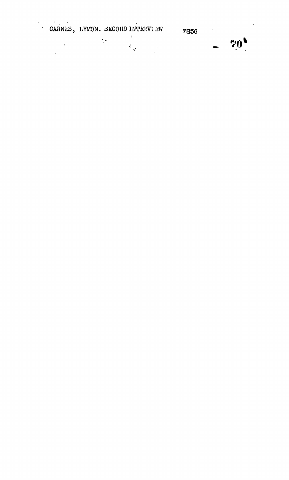CARNES, LYMON. SECOND INTERVIEW  $-70^{9}$ 7856  $\epsilon_{\rm{max}}$  $\mathcal{A}^{\pm}$  $\label{eq:2} \frac{1}{2} \int_{\mathbb{R}^3} \left| \frac{d\mathbf{x}}{d\mathbf{x}} \right|^2 \, d\mathbf{x} \, d\mathbf{x} \, d\mathbf{x} \, d\mathbf{x} \, d\mathbf{x} \, d\mathbf{x} \, d\mathbf{x} \, d\mathbf{x} \, d\mathbf{x} \, d\mathbf{x} \, d\mathbf{x} \, d\mathbf{x} \, d\mathbf{x} \, d\mathbf{x} \, d\mathbf{x} \, d\mathbf{x} \, d\mathbf{x} \, d\mathbf{x} \, d\mathbf{x} \, d\mathbf{x} \, d\mathbf{x} \, d$  $\label{eq:Ricci} \mathcal{R}_{\mathbf{X}} = \mathbb{E}_{\mathbf{X}} \mathbb{E}_{\mathbf{X}} \left[ \mathbb{E}_{\mathbf{X}} \right]$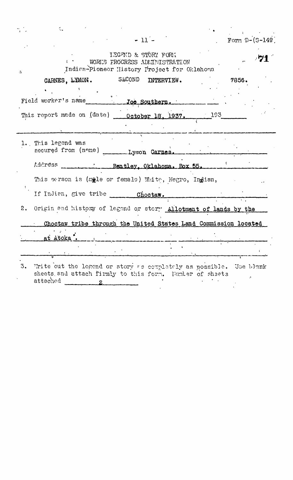| đ.                                                                                 |                     |  |       |                  |
|------------------------------------------------------------------------------------|---------------------|--|-------|------------------|
|                                                                                    | $-11 -$             |  |       | Form $D-(S-149)$ |
| WORKS PROCRESS ADMINISTRATION<br>Indian-Pioneor History Project for Oklahoma<br>a. | IEGEND & STÖRY FORM |  |       |                  |
| CARNES, LYMON. SECOND INTERVIEW.                                                   |                     |  | 7856. |                  |
|                                                                                    |                     |  |       |                  |
| This report made on (date) _____ October 18, 1937. 1937.                           |                     |  |       |                  |
| 1. This legend was<br>secured from (name)                                          | Lymon Carnes.       |  |       |                  |
| Address<br>Bentley, Oklahoma, Box 55.                                              |                     |  |       |                  |
| This person is (male or female) White, Negro, Indian,                              |                     |  |       |                  |
|                                                                                    |                     |  |       |                  |
| 2.<br>Origin and history of legond or story Allotment of lands by the              |                     |  |       |                  |
| Choctaw tribe through the United States Land Commission located                    |                     |  |       |                  |
| at Atoka.                                                                          |                     |  |       |                  |
|                                                                                    |                     |  |       |                  |
| 3. Trite out the legend or story as couplately as possible. Use blank              |                     |  |       |                  |

sheets and attach firmly to this form. Number of sheets attached 2

 $\ddot{\phantom{0}}$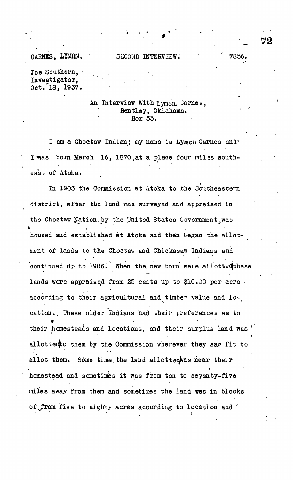Joe Southern, Investigator, 0ct. 18, 1937.

## An Interview With Lymon. Jarnes, Bentley, Oklahoma. Box 55.

I am a Choctaw Indian; my name is Lymon Carnes and I was born March 16, 1870 at a place four miles south-'t te stelling the state of the state of the state of the state of the state of the state of the state of the state of the state of the state of the state of the state of the state of the state of the state of the state of east of Atoka.

In 1903 the Commission at Atoka to the Southeastern district, after the land was surveyed and appraised in the Choctaw Nation, by the United States Government ,was housed and established at Atoka and then began the allotment, of lands to.the Choctaw and Chiekasaw Indians and continued up to 1906. When the new born were allotted these continued up to 1906'. When the, new born were allotteqthese lands were appraised from 25 cents up to §10.00 per acre • according to their agricultural and timber value and location.. Ihese older Indians had their preferences as to their homesteads and locations, and their surplus land was J allottedto them by the Commission wherever they saw fit to allot them. Some time the land allottedwas near their homestead and sometimes it was from ten to seyenty-five miles away from them and sometizoes the land was in blocks of from five to eighty acres according to location and '

**• . '\_ 72**